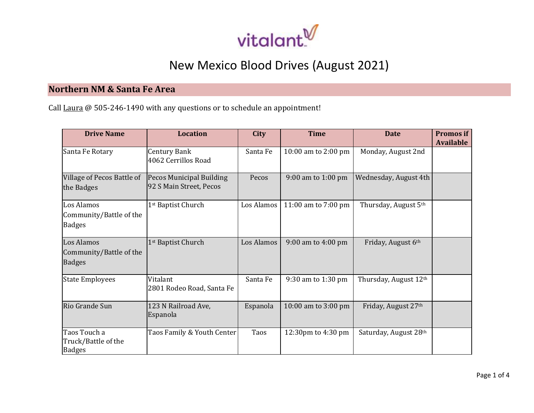

#### **Northern NM & Santa Fe Area**

Call *Laura* @ 505-246-1490 with any questions or to schedule an appointment!

| <b>Drive Name</b>                                      | <b>Location</b>                                            | <b>City</b> | <b>Time</b>         | <b>Date</b>           | <b>Promos if</b><br><b>Available</b> |
|--------------------------------------------------------|------------------------------------------------------------|-------------|---------------------|-----------------------|--------------------------------------|
| Santa Fe Rotary                                        | <b>Century Bank</b><br>4062 Cerrillos Road                 | Santa Fe    | 10:00 am to 2:00 pm | Monday, August 2nd    |                                      |
| Village of Pecos Battle of<br>the Badges               | <b>Pecos Municipal Building</b><br>92 S Main Street, Pecos | Pecos       | 9:00 am to 1:00 pm  | Wednesday, August 4th |                                      |
| Los Alamos<br>Community/Battle of the<br><b>Badges</b> | 1st Baptist Church                                         | Los Alamos  | 11:00 am to 7:00 pm | Thursday, August 5th  |                                      |
| Los Alamos<br>Community/Battle of the<br><b>Badges</b> | 1 <sup>st</sup> Baptist Church                             | Los Alamos  | 9:00 am to 4:00 pm  | Friday, August 6th    |                                      |
| <b>State Employees</b>                                 | Vitalant<br>2801 Rodeo Road, Santa Fe                      | Santa Fe    | 9:30 am to 1:30 pm  | Thursday, August 12th |                                      |
| Rio Grande Sun                                         | 123 N Railroad Ave,<br>Espanola                            | Espanola    | 10:00 am to 3:00 pm | Friday, August 27th   |                                      |
| Taos Touch a<br>Truck/Battle of the<br><b>Badges</b>   | Taos Family & Youth Center                                 | Taos        | 12:30pm to 4:30 pm  | Saturday, August 28th |                                      |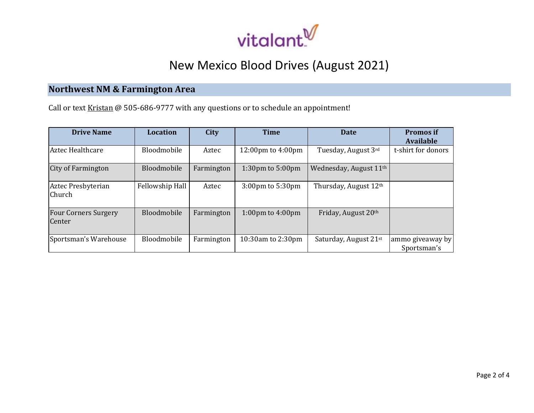

### **Northwest NM & Farmington Area**

Call or text Kristan @ 505-686-9777 with any questions or to schedule an appointment!

| <b>Drive Name</b>                     | <b>Location</b> | City       | <b>Time</b>                           | <b>Date</b>            | <b>Promos</b> if<br><b>Available</b> |
|---------------------------------------|-----------------|------------|---------------------------------------|------------------------|--------------------------------------|
| Aztec Healthcare                      | Bloodmobile     | Aztec      | $12:00 \text{pm}$ to $4:00 \text{pm}$ | Tuesday, August 3rd    | t-shirt for donors                   |
| City of Farmington                    | Bloodmobile     | Farmington | $1:30$ pm to $5:00$ pm                | Wednesday, August 11th |                                      |
| Aztec Presbyterian<br>Church          | Fellowship Hall | Aztec      | $3:00 \text{pm}$ to $5:30 \text{pm}$  | Thursday, August 12th  |                                      |
| <b>Four Corners Surgery</b><br>Center | Bloodmobile     | Farmington | 1:00pm to $4:00$ pm                   | Friday, August 20th    |                                      |
| Sportsman's Warehouse                 | Bloodmobile     | Farmington | 10:30am to 2:30pm                     | Saturday, August 21st  | ammo giveaway by<br>Sportsman's      |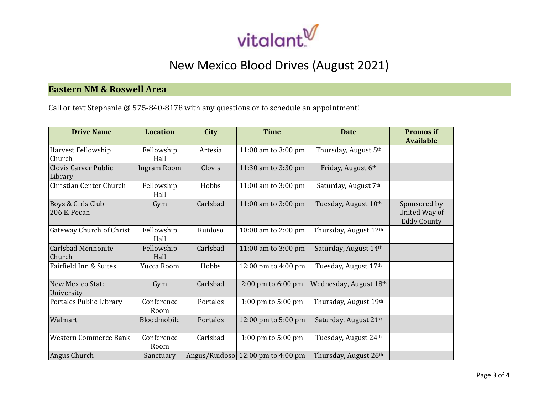

### **Eastern NM & Roswell Area**

Call or text Stephanie @ 575-840-8178 with any questions or to schedule an appointment!

| <b>Drive Name</b>                      | <b>Location</b>    | <b>City</b> | <b>Time</b>                             | <b>Date</b>            | <b>Promos if</b><br><b>Available</b>                |
|----------------------------------------|--------------------|-------------|-----------------------------------------|------------------------|-----------------------------------------------------|
| Harvest Fellowship<br>Church           | Fellowship<br>Hall | Artesia     | 11:00 am to 3:00 pm                     | Thursday, August 5th   |                                                     |
| <b>Clovis Carver Public</b><br>Library | Ingram Room        | Clovis      | 11:30 am to 3:30 pm                     | Friday, August 6th     |                                                     |
| Christian Center Church                | Fellowship<br>Hall | Hobbs       | 11:00 am to $3:00 \text{ pm}$           | Saturday, August 7th   |                                                     |
| Boys & Girls Club<br>206 E. Pecan      | Gym                | Carlsbad    | 11:00 am to 3:00 pm                     | Tuesday, August 10th   | Sponsored by<br>United Way of<br><b>Eddy County</b> |
| <b>Gateway Church of Christ</b>        | Fellowship<br>Hall | Ruidoso     | 10:00 am to 2:00 pm                     | Thursday, August 12th  |                                                     |
| <b>Carlsbad Mennonite</b><br>Church    | Fellowship<br>Hall | Carlsbad    | 11:00 am to 3:00 pm                     | Saturday, August 14th  |                                                     |
| Fairfield Inn & Suites                 | Yucca Room         | Hobbs       | 12:00 pm to $4:00$ pm                   | Tuesday, August 17th   |                                                     |
| New Mexico State<br>University         | Gym                | Carlsbad    | $2:00$ pm to $6:00$ pm                  | Wednesday, August 18th |                                                     |
| Portales Public Library                | Conference<br>Room | Portales    | 1:00 pm to $5:00$ pm                    | Thursday, August 19th  |                                                     |
| Walmart                                | Bloodmobile        | Portales    | $12:00 \text{ pm}$ to $5:00 \text{ pm}$ | Saturday, August 21st  |                                                     |
| Western Commerce Bank                  | Conference<br>Room | Carlsbad    | 1:00 pm to $5:00$ pm                    | Tuesday, August 24th   |                                                     |
| Angus Church                           | Sanctuary          |             | Angus/Ruidoso $12:00$ pm to 4:00 pm     | Thursday, August 26th  |                                                     |